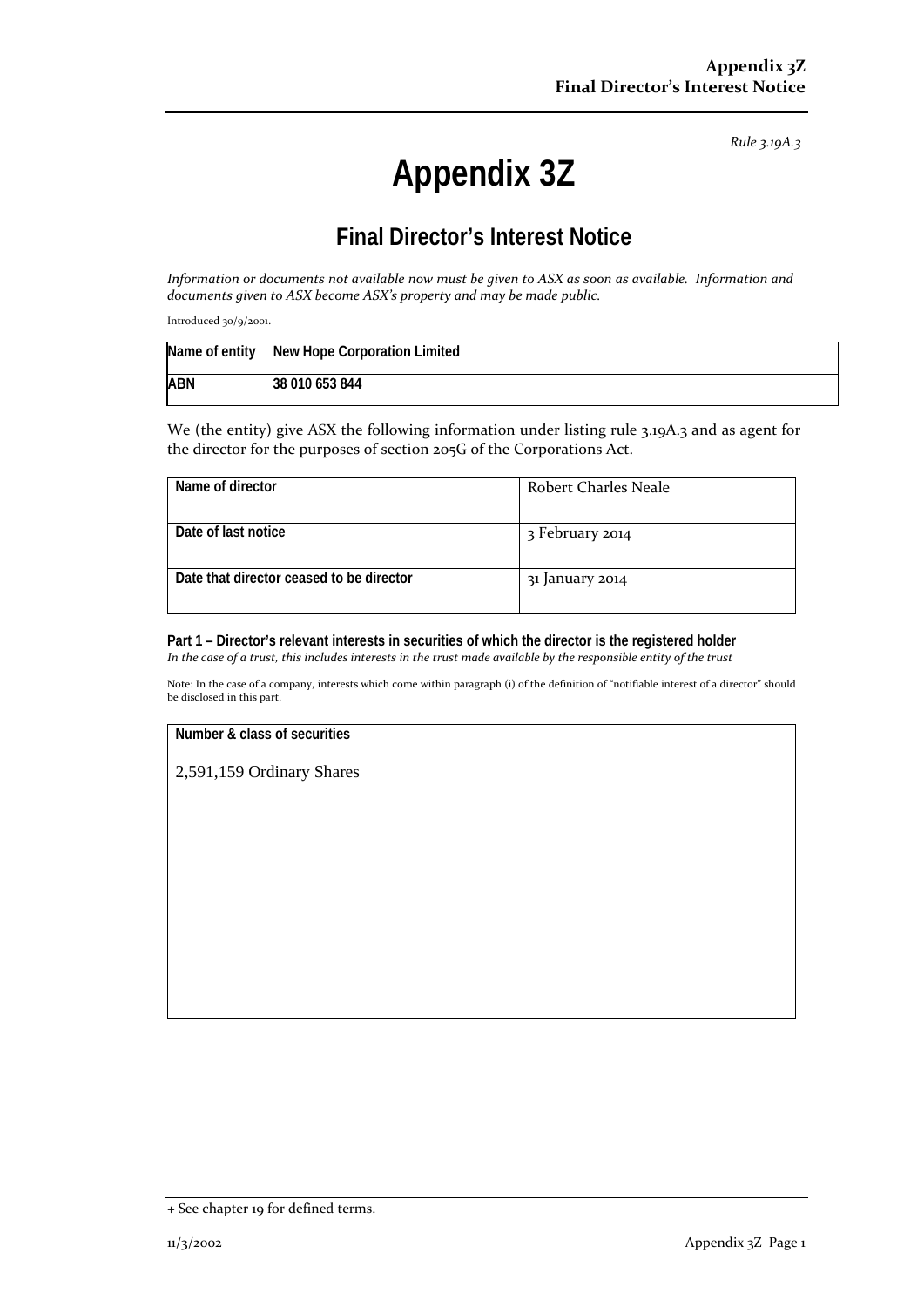*Rule 3.19A.3*

# **Appendix 3Z**

## **Final Director's Interest Notice**

*Information or documents not available now must be given to ASX as soon as available. Information and documents given to ASX become ASX's property and may be made public.*

Introduced 30/9/2001.

|            | Name of entity New Hope Corporation Limited |
|------------|---------------------------------------------|
| <b>ABN</b> | 38 010 653 844                              |

We (the entity) give ASX the following information under listing rule 3.19A.3 and as agent for the director for the purposes of section 205G of the Corporations Act.

| Name of director                         | Robert Charles Neale |
|------------------------------------------|----------------------|
| Date of last notice                      | 3 February 2014      |
| Date that director ceased to be director | 31 January 2014      |

**Part 1 – Director's relevant interests in securities of which the director is the registered holder** *In the case of a trust, this includes interests in the trust made available by the responsible entity of the trust*

Note: In the case of a company, interests which come within paragraph (i) of the definition of "notifiable interest of a director" should be disclosed in this part.

#### **Number & class of securities**

2,591,159 Ordinary Shares

<sup>+</sup> See chapter 19 for defined terms.